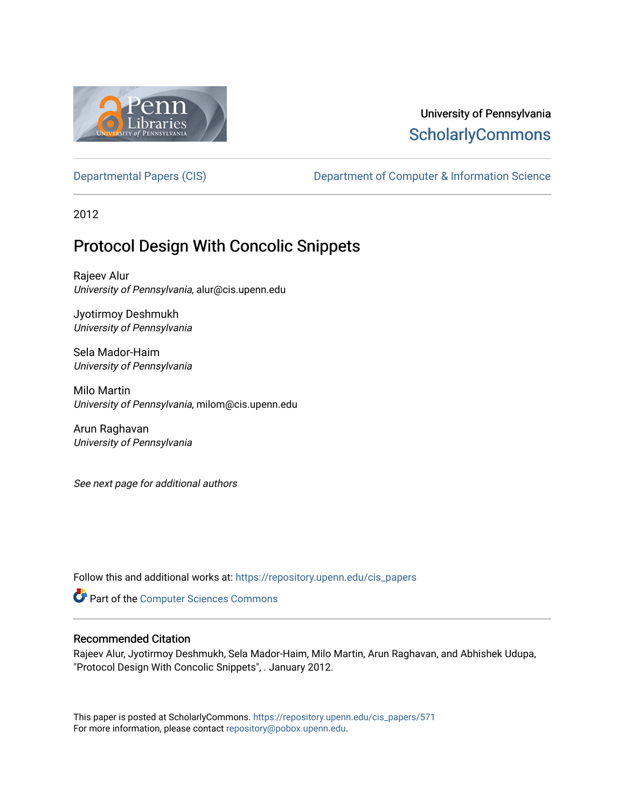

# University of Pennsylvania **ScholarlyCommons**

[Departmental Papers \(CIS\)](https://repository.upenn.edu/cis_papers) Department of Computer & Information Science

2012

# Protocol Design With Concolic Snippets

Rajeev Alur University of Pennsylvania, alur@cis.upenn.edu

Jyotirmoy Deshmukh University of Pennsylvania

Sela Mador-Haim University of Pennsylvania

Milo Martin University of Pennsylvania, milom@cis.upenn.edu

Arun Raghavan University of Pennsylvania

See next page for additional authors

Follow this and additional works at: [https://repository.upenn.edu/cis\\_papers](https://repository.upenn.edu/cis_papers?utm_source=repository.upenn.edu%2Fcis_papers%2F571&utm_medium=PDF&utm_campaign=PDFCoverPages)

Part of the [Computer Sciences Commons](http://network.bepress.com/hgg/discipline/142?utm_source=repository.upenn.edu%2Fcis_papers%2F571&utm_medium=PDF&utm_campaign=PDFCoverPages)

# Recommended Citation

Rajeev Alur, Jyotirmoy Deshmukh, Sela Mador-Haim, Milo Martin, Arun Raghavan, and Abhishek Udupa, "Protocol Design With Concolic Snippets", . January 2012.

This paper is posted at ScholarlyCommons. [https://repository.upenn.edu/cis\\_papers/571](https://repository.upenn.edu/cis_papers/571)  For more information, please contact [repository@pobox.upenn.edu.](mailto:repository@pobox.upenn.edu)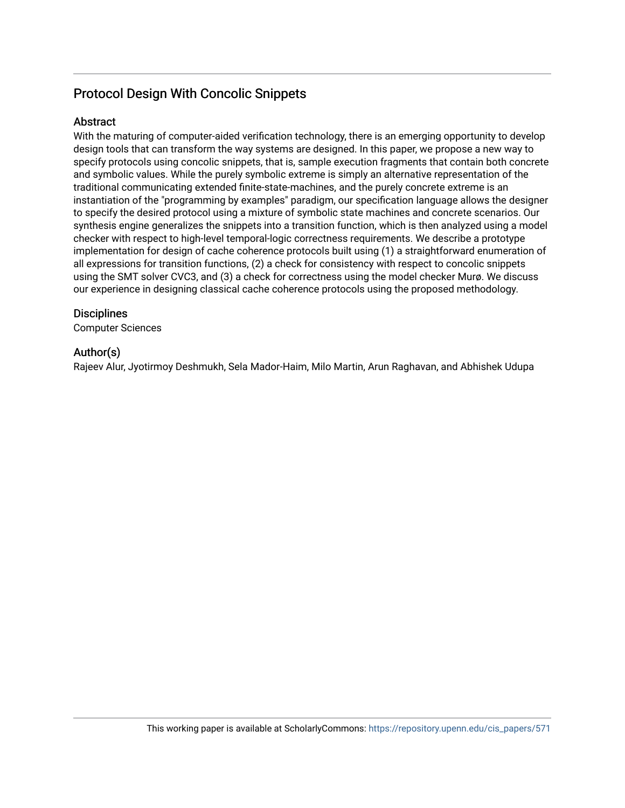# Protocol Design With Concolic Snippets

# **Abstract**

With the maturing of computer-aided verification technology, there is an emerging opportunity to develop design tools that can transform the way systems are designed. In this paper, we propose a new way to specify protocols using concolic snippets, that is, sample execution fragments that contain both concrete and symbolic values. While the purely symbolic extreme is simply an alternative representation of the traditional communicating extended finite-state-machines, and the purely concrete extreme is an instantiation of the "programming by examples" paradigm, our specification language allows the designer to specify the desired protocol using a mixture of symbolic state machines and concrete scenarios. Our synthesis engine generalizes the snippets into a transition function, which is then analyzed using a model checker with respect to high-level temporal-logic correctness requirements. We describe a prototype implementation for design of cache coherence protocols built using (1) a straightforward enumeration of all expressions for transition functions, (2) a check for consistency with respect to concolic snippets using the SMT solver CVC3, and (3) a check for correctness using the model checker Murø. We discuss our experience in designing classical cache coherence protocols using the proposed methodology.

# **Disciplines**

Computer Sciences

# Author(s)

Rajeev Alur, Jyotirmoy Deshmukh, Sela Mador-Haim, Milo Martin, Arun Raghavan, and Abhishek Udupa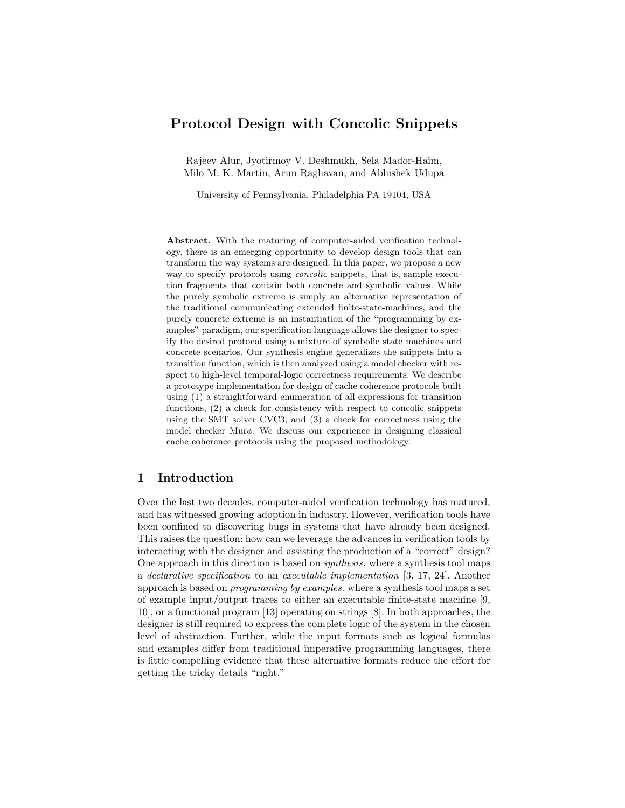# Protocol Design with Concolic Snippets

Rajeev Alur, Jyotirmoy V. Deshmukh, Sela Mador-Haim, Milo M. K. Martin, Arun Raghavan, and Abhishek Udupa

University of Pennsylvania, Philadelphia PA 19104, USA

Abstract. With the maturing of computer-aided verification technology, there is an emerging opportunity to develop design tools that can transform the way systems are designed. In this paper, we propose a new way to specify protocols using *concolic* snippets, that is, sample execution fragments that contain both concrete and symbolic values. While the purely symbolic extreme is simply an alternative representation of the traditional communicating extended finite-state-machines, and the purely concrete extreme is an instantiation of the "programming by examples" paradigm, our specification language allows the designer to specify the desired protocol using a mixture of symbolic state machines and concrete scenarios. Our synthesis engine generalizes the snippets into a transition function, which is then analyzed using a model checker with respect to high-level temporal-logic correctness requirements. We describe a prototype implementation for design of cache coherence protocols built using (1) a straightforward enumeration of all expressions for transition functions, (2) a check for consistency with respect to concolic snippets using the SMT solver CVC3, and (3) a check for correctness using the model checker Mur $\phi$ . We discuss our experience in designing classical cache coherence protocols using the proposed methodology.

# 1 Introduction

Over the last two decades, computer-aided verification technology has matured, and has witnessed growing adoption in industry. However, verification tools have been confined to discovering bugs in systems that have already been designed. This raises the question: how can we leverage the advances in verification tools by interacting with the designer and assisting the production of a "correct" design? One approach in this direction is based on synthesis, where a synthesis tool maps a declarative specification to an executable implementation  $[3, 17, 24]$ . Another approach is based on programming by examples, where a synthesis tool maps a set of example input/output traces to either an executable finite-state machine [9, 10], or a functional program [13] operating on strings [8]. In both approaches, the designer is still required to express the complete logic of the system in the chosen level of abstraction. Further, while the input formats such as logical formulas and examples differ from traditional imperative programming languages, there is little compelling evidence that these alternative formats reduce the effort for getting the tricky details "right."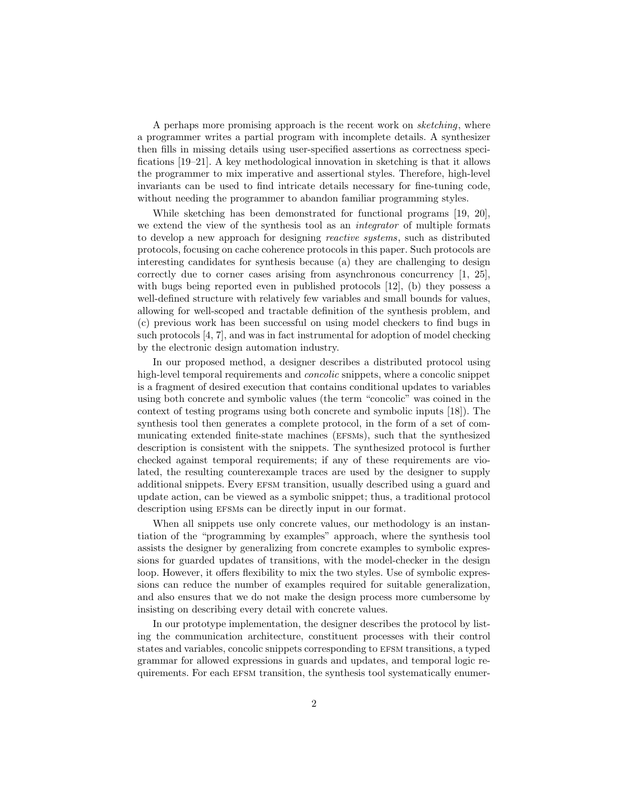A perhaps more promising approach is the recent work on sketching, where a programmer writes a partial program with incomplete details. A synthesizer then fills in missing details using user-specified assertions as correctness specifications [19–21]. A key methodological innovation in sketching is that it allows the programmer to mix imperative and assertional styles. Therefore, high-level invariants can be used to find intricate details necessary for fine-tuning code, without needing the programmer to abandon familiar programming styles.

While sketching has been demonstrated for functional programs [19, 20], we extend the view of the synthesis tool as an integrator of multiple formats to develop a new approach for designing reactive systems, such as distributed protocols, focusing on cache coherence protocols in this paper. Such protocols are interesting candidates for synthesis because (a) they are challenging to design correctly due to corner cases arising from asynchronous concurrency [1, 25], with bugs being reported even in published protocols [12], (b) they possess a well-defined structure with relatively few variables and small bounds for values, allowing for well-scoped and tractable definition of the synthesis problem, and (c) previous work has been successful on using model checkers to find bugs in such protocols [4, 7], and was in fact instrumental for adoption of model checking by the electronic design automation industry.

In our proposed method, a designer describes a distributed protocol using high-level temporal requirements and *concolic* snippets, where a concolic snippet is a fragment of desired execution that contains conditional updates to variables using both concrete and symbolic values (the term "concolic" was coined in the context of testing programs using both concrete and symbolic inputs [18]). The synthesis tool then generates a complete protocol, in the form of a set of communicating extended finite-state machines (efsms), such that the synthesized description is consistent with the snippets. The synthesized protocol is further checked against temporal requirements; if any of these requirements are violated, the resulting counterexample traces are used by the designer to supply additional snippets. Every efsm transition, usually described using a guard and update action, can be viewed as a symbolic snippet; thus, a traditional protocol description using EFSMs can be directly input in our format.

When all snippets use only concrete values, our methodology is an instantiation of the "programming by examples" approach, where the synthesis tool assists the designer by generalizing from concrete examples to symbolic expressions for guarded updates of transitions, with the model-checker in the design loop. However, it offers flexibility to mix the two styles. Use of symbolic expressions can reduce the number of examples required for suitable generalization, and also ensures that we do not make the design process more cumbersome by insisting on describing every detail with concrete values.

In our prototype implementation, the designer describes the protocol by listing the communication architecture, constituent processes with their control states and variables, concolic snippets corresponding to efsm transitions, a typed grammar for allowed expressions in guards and updates, and temporal logic requirements. For each efsm transition, the synthesis tool systematically enumer-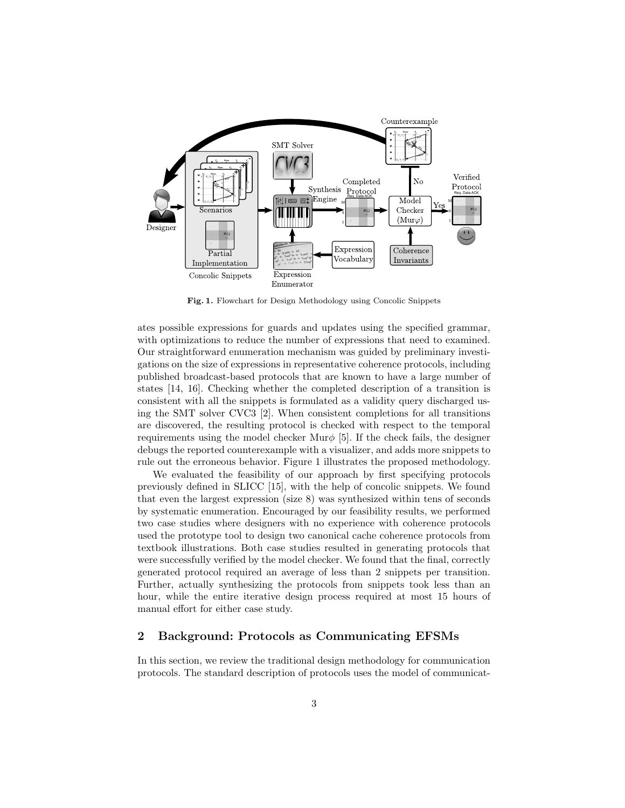

Fig. 1. Flowchart for Design Methodology using Concolic Snippets

ates possible expressions for guards and updates using the specified grammar, with optimizations to reduce the number of expressions that need to examined. Our straightforward enumeration mechanism was guided by preliminary investigations on the size of expressions in representative coherence protocols, including published broadcast-based protocols that are known to have a large number of states [14, 16]. Checking whether the completed description of a transition is consistent with all the snippets is formulated as a validity query discharged using the SMT solver CVC3 [2]. When consistent completions for all transitions are discovered, the resulting protocol is checked with respect to the temporal requirements using the model checker Mur $\phi$  [5]. If the check fails, the designer debugs the reported counterexample with a visualizer, and adds more snippets to rule out the erroneous behavior. Figure 1 illustrates the proposed methodology.

We evaluated the feasibility of our approach by first specifying protocols previously defined in SLICC [15], with the help of concolic snippets. We found that even the largest expression (size 8) was synthesized within tens of seconds by systematic enumeration. Encouraged by our feasibility results, we performed two case studies where designers with no experience with coherence protocols used the prototype tool to design two canonical cache coherence protocols from textbook illustrations. Both case studies resulted in generating protocols that were successfully verified by the model checker. We found that the final, correctly generated protocol required an average of less than 2 snippets per transition. Further, actually synthesizing the protocols from snippets took less than an hour, while the entire iterative design process required at most 15 hours of manual effort for either case study.

## 2 Background: Protocols as Communicating EFSMs

In this section, we review the traditional design methodology for communication protocols. The standard description of protocols uses the model of communicat-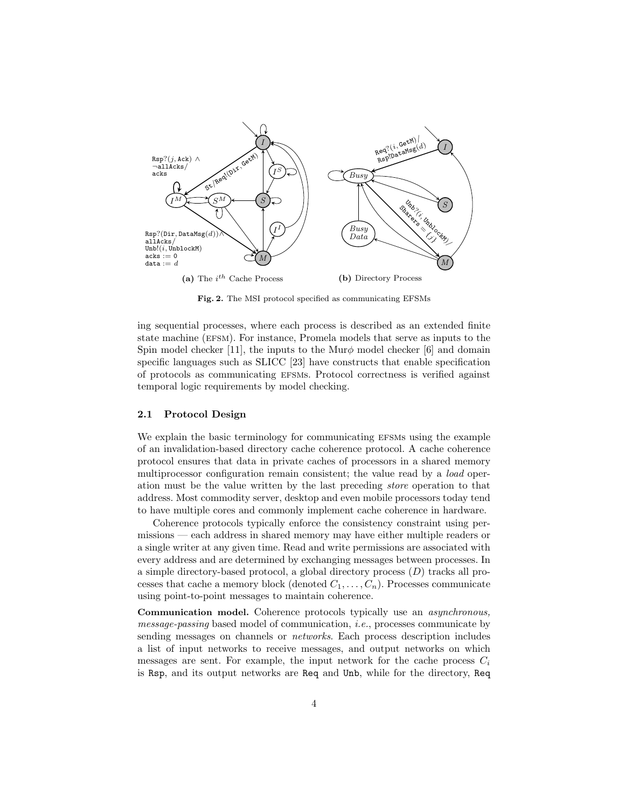

Fig. 2. The MSI protocol specified as communicating EFSMs

ing sequential processes, where each process is described as an extended finite state machine (efsm). For instance, Promela models that serve as inputs to the Spin model checker [11], the inputs to the Mur $\phi$  model checker [6] and domain specific languages such as SLICC [23] have constructs that enable specification of protocols as communicating efsms. Protocol correctness is verified against temporal logic requirements by model checking.

#### 2.1 Protocol Design

We explain the basic terminology for communicating EFSMs using the example of an invalidation-based directory cache coherence protocol. A cache coherence protocol ensures that data in private caches of processors in a shared memory multiprocessor configuration remain consistent; the value read by a *load* operation must be the value written by the last preceding store operation to that address. Most commodity server, desktop and even mobile processors today tend to have multiple cores and commonly implement cache coherence in hardware.

Coherence protocols typically enforce the consistency constraint using permissions — each address in shared memory may have either multiple readers or a single writer at any given time. Read and write permissions are associated with every address and are determined by exchanging messages between processes. In a simple directory-based protocol, a global directory process (D) tracks all processes that cache a memory block (denoted  $C_1, \ldots, C_n$ ). Processes communicate using point-to-point messages to maintain coherence.

Communication model. Coherence protocols typically use an asynchronous, message-passing based model of communication, i.e., processes communicate by sending messages on channels or *networks*. Each process description includes a list of input networks to receive messages, and output networks on which messages are sent. For example, the input network for the cache process  $C_i$ is Rsp, and its output networks are Req and Unb, while for the directory, Req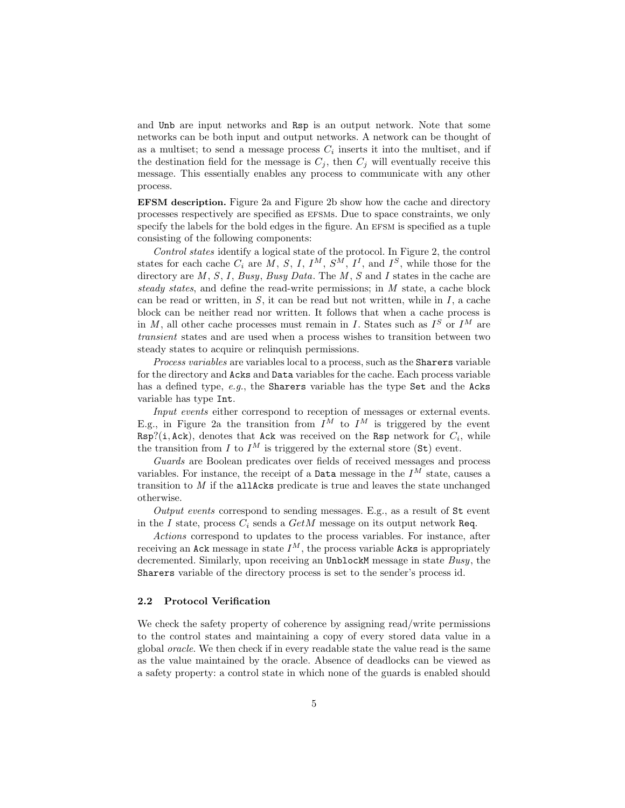and Unb are input networks and Rsp is an output network. Note that some networks can be both input and output networks. A network can be thought of as a multiset; to send a message process  $C_i$  inserts it into the multiset, and if the destination field for the message is  $C_j$ , then  $C_j$  will eventually receive this message. This essentially enables any process to communicate with any other process.

EFSM description. Figure 2a and Figure 2b show how the cache and directory processes respectively are specified as efsms. Due to space constraints, we only specify the labels for the bold edges in the figure. An EFSM is specified as a tuple consisting of the following components:

Control states identify a logical state of the protocol. In Figure 2, the control states for each cache  $C_i$  are M, S, I,  $I^M$ ,  $S^M$ ,  $I^I$ , and  $I^S$ , while those for the directory are  $M, S, I, Busy, Busy Data$ . The  $M, S$  and I states in the cache are steady states, and define the read-write permissions; in M state, a cache block can be read or written, in  $S$ , it can be read but not written, while in  $I$ , a cache block can be neither read nor written. It follows that when a cache process is in M, all other cache processes must remain in I. States such as  $I^S$  or  $I^M$  are transient states and are used when a process wishes to transition between two steady states to acquire or relinquish permissions.

Process variables are variables local to a process, such as the Sharers variable for the directory and Acks and Data variables for the cache. Each process variable has a defined type, e.g., the Sharers variable has the type Set and the Acks variable has type Int.

Input events either correspond to reception of messages or external events. E.g., in Figure 2a the transition from  $I^M$  to  $I^M$  is triggered by the event  $Rsp?(i, Ack),$  denotes that Ack was received on the Rsp network for  $C_i$ , while the transition from I to  $I^M$  is triggered by the external store (St) event.

Guards are Boolean predicates over fields of received messages and process variables. For instance, the receipt of a **Data** message in the  $I^{\tilde{M}}$  state, causes a transition to  $M$  if the allAcks predicate is true and leaves the state unchanged otherwise.

Output events correspond to sending messages. E.g., as a result of  $St$  event in the I state, process  $C_i$  sends a  $GetM$  message on its output network Req.

Actions correspond to updates to the process variables. For instance, after receiving an Ack message in state  $I^M$ , the process variable Acks is appropriately decremented. Similarly, upon receiving an UnblockM message in state Busy, the Sharers variable of the directory process is set to the sender's process id.

## 2.2 Protocol Verification

We check the safety property of coherence by assigning read/write permissions to the control states and maintaining a copy of every stored data value in a global oracle. We then check if in every readable state the value read is the same as the value maintained by the oracle. Absence of deadlocks can be viewed as a safety property: a control state in which none of the guards is enabled should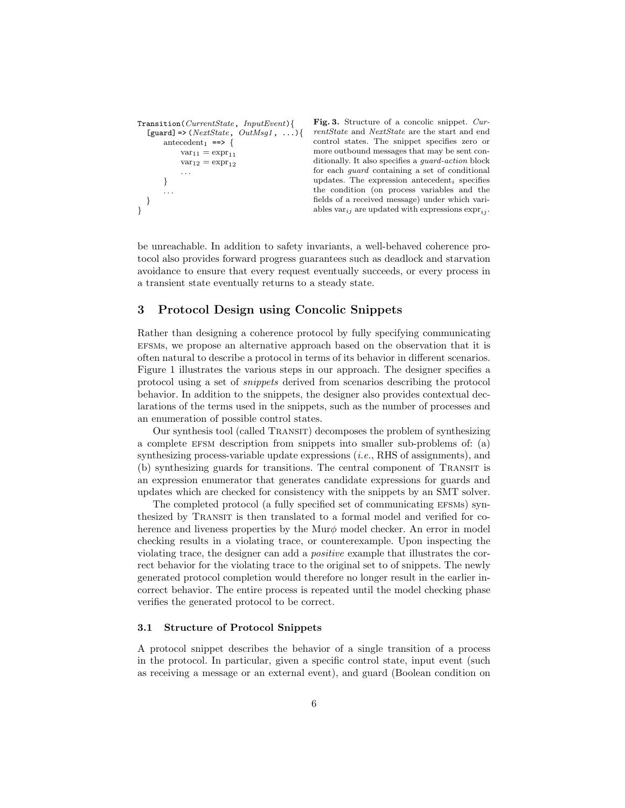```
Transition(CurrentState, InputEvent){
  [guard] => (NextState, OutMsg1, ...)antecedent<sub>1</sub> ==> {
            var_{11} = expr_{11}var_{12} = expr_{12}. . .
       }
       . . .
  }
}
```
Fig. 3. Structure of a concolic snippet. CurrentState and NextState are the start and end control states. The snippet specifies zero or more outbound messages that may be sent conditionally. It also specifies a guard-action block for each guard containing a set of conditional updates. The expression antecedent<sub>i</sub> specifies the condition (on process variables and the fields of a received message) under which variables var<sub>ij</sub> are updated with expressions  $\exp(r_{ij})$ .

be unreachable. In addition to safety invariants, a well-behaved coherence protocol also provides forward progress guarantees such as deadlock and starvation avoidance to ensure that every request eventually succeeds, or every process in a transient state eventually returns to a steady state.

## 3 Protocol Design using Concolic Snippets

Rather than designing a coherence protocol by fully specifying communicating efsms, we propose an alternative approach based on the observation that it is often natural to describe a protocol in terms of its behavior in different scenarios. Figure 1 illustrates the various steps in our approach. The designer specifies a protocol using a set of snippets derived from scenarios describing the protocol behavior. In addition to the snippets, the designer also provides contextual declarations of the terms used in the snippets, such as the number of processes and an enumeration of possible control states.

Our synthesis tool (called TRANSIT) decomposes the problem of synthesizing a complete efsm description from snippets into smaller sub-problems of: (a) synthesizing process-variable update expressions (i.e., RHS of assignments), and (b) synthesizing guards for transitions. The central component of Transit is an expression enumerator that generates candidate expressions for guards and updates which are checked for consistency with the snippets by an SMT solver.

The completed protocol (a fully specified set of communicating EFSMs) synthesized by TRANSIT is then translated to a formal model and verified for coherence and liveness properties by the Mur $\phi$  model checker. An error in model checking results in a violating trace, or counterexample. Upon inspecting the violating trace, the designer can add a positive example that illustrates the correct behavior for the violating trace to the original set to of snippets. The newly generated protocol completion would therefore no longer result in the earlier incorrect behavior. The entire process is repeated until the model checking phase verifies the generated protocol to be correct.

#### 3.1 Structure of Protocol Snippets

A protocol snippet describes the behavior of a single transition of a process in the protocol. In particular, given a specific control state, input event (such as receiving a message or an external event), and guard (Boolean condition on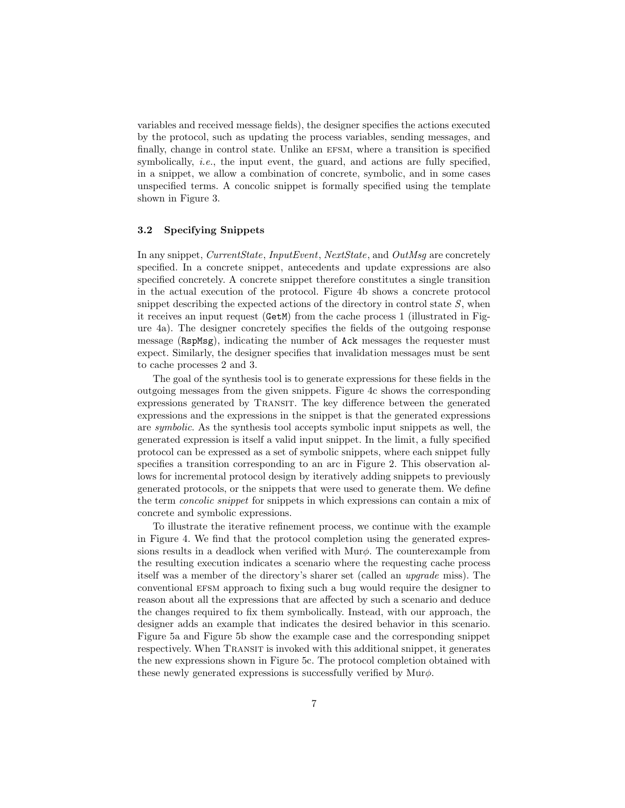variables and received message fields), the designer specifies the actions executed by the protocol, such as updating the process variables, sending messages, and finally, change in control state. Unlike an EFSM, where a transition is specified symbolically, *i.e.*, the input event, the guard, and actions are fully specified, in a snippet, we allow a combination of concrete, symbolic, and in some cases unspecified terms. A concolic snippet is formally specified using the template shown in Figure 3.

### 3.2 Specifying Snippets

In any snippet, CurrentState, InputEvent, NextState, and OutMsg are concretely specified. In a concrete snippet, antecedents and update expressions are also specified concretely. A concrete snippet therefore constitutes a single transition in the actual execution of the protocol. Figure 4b shows a concrete protocol snippet describing the expected actions of the directory in control state  $S$ , when it receives an input request (GetM) from the cache process 1 (illustrated in Figure 4a). The designer concretely specifies the fields of the outgoing response message (RspMsg), indicating the number of Ack messages the requester must expect. Similarly, the designer specifies that invalidation messages must be sent to cache processes 2 and 3.

The goal of the synthesis tool is to generate expressions for these fields in the outgoing messages from the given snippets. Figure 4c shows the corresponding expressions generated by TRANSIT. The key difference between the generated expressions and the expressions in the snippet is that the generated expressions are symbolic. As the synthesis tool accepts symbolic input snippets as well, the generated expression is itself a valid input snippet. In the limit, a fully specified protocol can be expressed as a set of symbolic snippets, where each snippet fully specifies a transition corresponding to an arc in Figure 2. This observation allows for incremental protocol design by iteratively adding snippets to previously generated protocols, or the snippets that were used to generate them. We define the term *concolic snippet* for snippets in which expressions can contain a mix of concrete and symbolic expressions.

To illustrate the iterative refinement process, we continue with the example in Figure 4. We find that the protocol completion using the generated expressions results in a deadlock when verified with  $\text{Mur}\phi$ . The counterexample from the resulting execution indicates a scenario where the requesting cache process itself was a member of the directory's sharer set (called an upgrade miss). The conventional efsm approach to fixing such a bug would require the designer to reason about all the expressions that are affected by such a scenario and deduce the changes required to fix them symbolically. Instead, with our approach, the designer adds an example that indicates the desired behavior in this scenario. Figure 5a and Figure 5b show the example case and the corresponding snippet respectively. When TRANSIT is invoked with this additional snippet, it generates the new expressions shown in Figure 5c. The protocol completion obtained with these newly generated expressions is successfully verified by  $Mur\phi$ .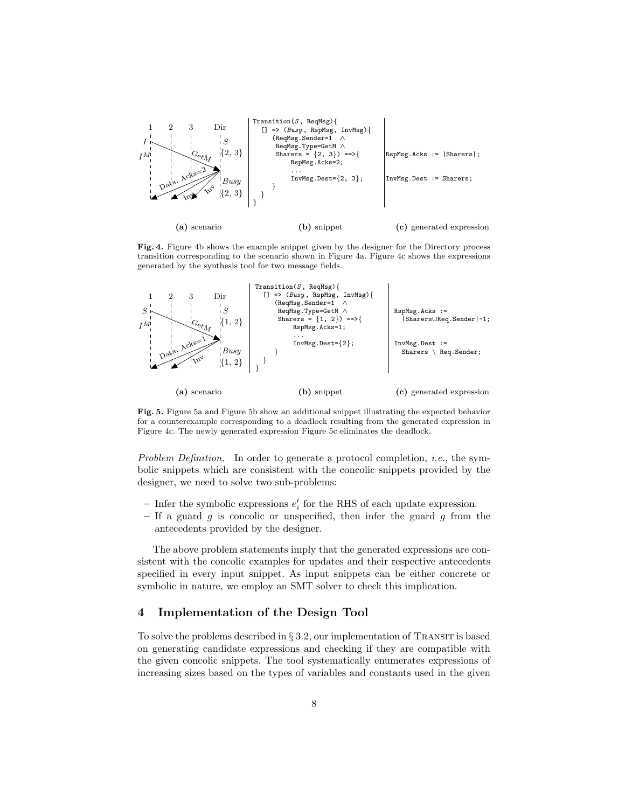

Fig. 4. Figure 4b shows the example snippet given by the designer for the Directory process transition corresponding to the scenario shown in Figure 4a. Figure 4c shows the expressions generated by the synthesis tool for two message fields.



Fig. 5. Figure 5a and Figure 5b show an additional snippet illustrating the expected behavior for a counterexample corresponding to a deadlock resulting from the generated expression in Figure 4c. The newly generated expression Figure 5c eliminates the deadlock.

Problem Definition. In order to generate a protocol completion, *i.e.*, the symbolic snippets which are consistent with the concolic snippets provided by the designer, we need to solve two sub-problems:

- Infer the symbolic expressions  $e'_i$  for the RHS of each update expression.
- If a guard  $g$  is concolic or unspecified, then infer the guard  $g$  from the antecedents provided by the designer.

The above problem statements imply that the generated expressions are consistent with the concolic examples for updates and their respective antecedents specified in every input snippet. As input snippets can be either concrete or symbolic in nature, we employ an SMT solver to check this implication.

## 4 Implementation of the Design Tool

To solve the problems described in  $\S 3.2$ , our implementation of TRANSIT is based on generating candidate expressions and checking if they are compatible with the given concolic snippets. The tool systematically enumerates expressions of increasing sizes based on the types of variables and constants used in the given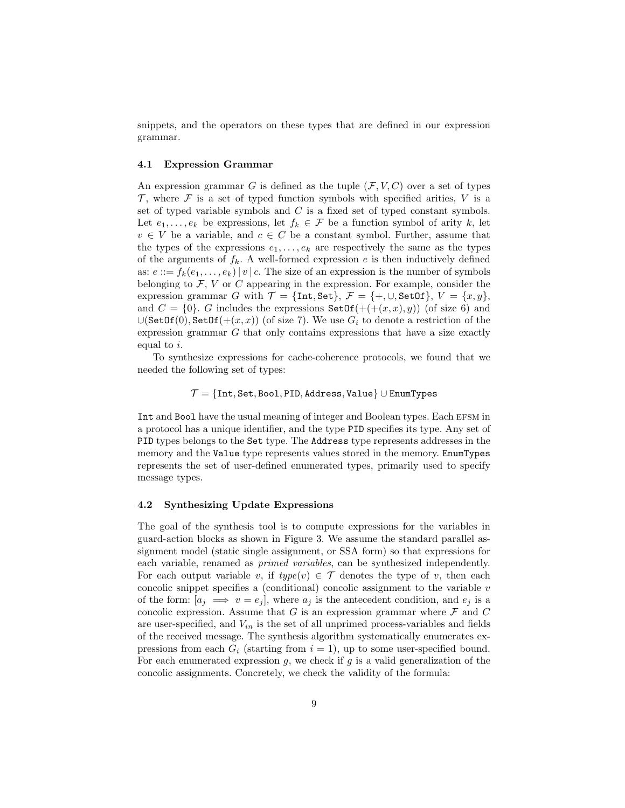snippets, and the operators on these types that are defined in our expression grammar.

#### 4.1 Expression Grammar

An expression grammar G is defined as the tuple  $(F, V, C)$  over a set of types  $\mathcal T$ , where  $\mathcal F$  is a set of typed function symbols with specified arities, V is a set of typed variable symbols and  $C$  is a fixed set of typed constant symbols. Let  $e_1, \ldots, e_k$  be expressions, let  $f_k \in \mathcal{F}$  be a function symbol of arity k, let  $v \in V$  be a variable, and  $c \in C$  be a constant symbol. Further, assume that the types of the expressions  $e_1, \ldots, e_k$  are respectively the same as the types of the arguments of  $f_k$ . A well-formed expression e is then inductively defined as:  $e ::= f_k(e_1, \ldots, e_k) | v | c$ . The size of an expression is the number of symbols belonging to  $\mathcal{F}$ ,  $V$  or  $C$  appearing in the expression. For example, consider the expression grammar G with  $\mathcal{T} = {\text{Int, Set}}$ ,  $\mathcal{F} = {\text{+, U, SetOf}}$ ,  $V = \{x, y\}$ , and  $C = \{0\}$ . G includes the expressions  $\texttt{SetOf}(+((x, x), y))$  (of size 6) and  $\bigcup (\text{SetOf}(0), \text{SetOf}(+(x, x)) \text{ (of size 7)}.$  We use  $G_i$  to denote a restriction of the expression grammar G that only contains expressions that have a size exactly equal to i.

To synthesize expressions for cache-coherence protocols, we found that we needed the following set of types:

## $\mathcal{T} = \{\texttt{Int}, \texttt{Set}, \texttt{Bool}, \texttt{PID}, \texttt{Address}, \texttt{Value}\} \cup \texttt{EnumTypes}$

Int and Bool have the usual meaning of integer and Boolean types. Each efsm in a protocol has a unique identifier, and the type PID specifies its type. Any set of PID types belongs to the Set type. The Address type represents addresses in the memory and the Value type represents values stored in the memory. EnumTypes represents the set of user-defined enumerated types, primarily used to specify message types.

#### 4.2 Synthesizing Update Expressions

The goal of the synthesis tool is to compute expressions for the variables in guard-action blocks as shown in Figure 3. We assume the standard parallel assignment model (static single assignment, or SSA form) so that expressions for each variable, renamed as primed variables, can be synthesized independently. For each output variable v, if  $type(v) \in \mathcal{T}$  denotes the type of v, then each concolic snippet specifies a (conditional) concolic assignment to the variable  $v$ of the form:  $[a_j \implies v = e_j]$ , where  $a_j$  is the antecedent condition, and  $e_j$  is a concolic expression. Assume that G is an expression grammar where  $\mathcal F$  and  $C$ are user-specified, and  $V_{in}$  is the set of all unprimed process-variables and fields of the received message. The synthesis algorithm systematically enumerates expressions from each  $G_i$  (starting from  $i = 1$ ), up to some user-specified bound. For each enumerated expression  $g$ , we check if  $g$  is a valid generalization of the concolic assignments. Concretely, we check the validity of the formula: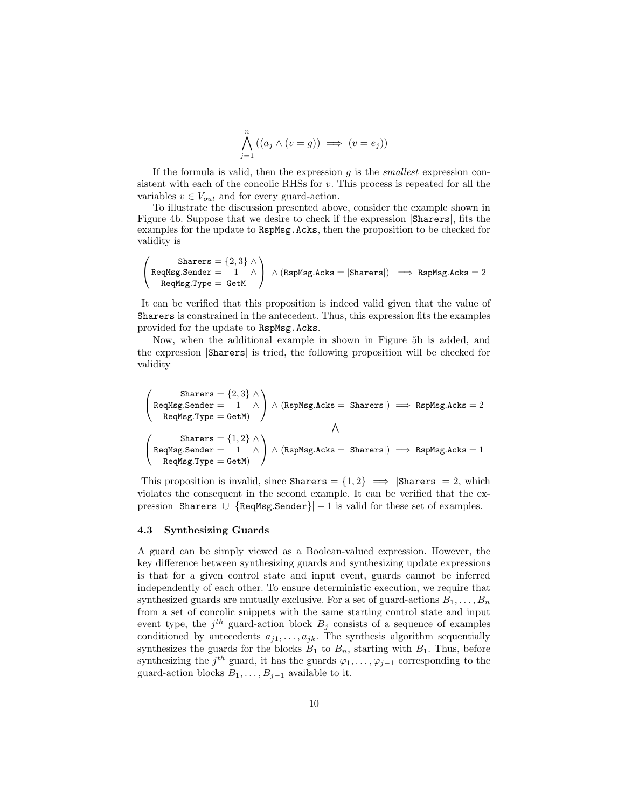$$
\bigwedge_{j=1}^{n} ((a_j \land (v = g)) \implies (v = e_j))
$$

If the formula is valid, then the expression  $q$  is the *smallest* expression consistent with each of the concolic RHSs for  $v$ . This process is repeated for all the variables  $v \in V_{out}$  and for every guard-action.

To illustrate the discussion presented above, consider the example shown in Figure 4b. Suppose that we desire to check if the expression |Sharers|, fits the examples for the update to RspMsg.Acks, then the proposition to be checked for validity is

$$
\begin{pmatrix}\n\text{Sharers} = \{2, 3\} \land \\
\text{ReqMsg.Sender} = 1 & \land \\
\text{ReqMsg.Type} = \text{GetM}\n\end{pmatrix}\n\land (\text{RspMsg.Acks} = |\text{Sharers}|) \implies \text{RspMsg.Acks} = 2
$$

It can be verified that this proposition is indeed valid given that the value of Sharers is constrained in the antecedent. Thus, this expression fits the examples provided for the update to RspMsg.Acks.

Now, when the additional example in shown in Figure 5b is added, and the expression |Sharers| is tried, the following proposition will be checked for validity

 $\sqrt{ }$  $\mathcal{L}$ Sharers =  $\{2,3\}$  ∧  $\texttt{ReqMsg.Sender} = \begin{array}{ccc} 1 & \wedge \end{array}$  $\texttt{ReqMsg.Type} = \texttt{GetM})$  $\setminus$  $\bigwedge$  (RspMsg.Acks = |Sharers|)  $\implies$  RspMsg.Acks = 2  $\wedge$  $\sqrt{ }$  $\mathcal{L}$ Sharers  $= \{1,2\} \wedge$  $\texttt{ReqMsg.Sender} = \begin{array}{ccc} 1 & \wedge \end{array}$  $\texttt{ReqMsg.Type} = \texttt{GetM})$  $\setminus$  $\bigwedge$  (RspMsg.Acks = |Sharers|)  $\implies$  RspMsg.Acks = 1

This proposition is invalid, since Sharers =  $\{1,2\} \implies |\text{Shares}| = 2$ , which violates the consequent in the second example. It can be verified that the expression  $|\text{Sharers} \cup \{\text{RegMsg.Sender}\}| - 1$  is valid for these set of examples.

#### 4.3 Synthesizing Guards

A guard can be simply viewed as a Boolean-valued expression. However, the key difference between synthesizing guards and synthesizing update expressions is that for a given control state and input event, guards cannot be inferred independently of each other. To ensure deterministic execution, we require that synthesized guards are mutually exclusive. For a set of guard-actions  $B_1, \ldots, B_n$ from a set of concolic snippets with the same starting control state and input event type, the  $j<sup>th</sup>$  guard-action block  $B_j$  consists of a sequence of examples conditioned by antecedents  $a_{j1}, \ldots, a_{jk}$ . The synthesis algorithm sequentially synthesizes the guards for the blocks  $B_1$  to  $B_n$ , starting with  $B_1$ . Thus, before synthesizing the  $j^{th}$  guard, it has the guards  $\varphi_1, \ldots, \varphi_{j-1}$  corresponding to the guard-action blocks  $B_1, \ldots, B_{j-1}$  available to it.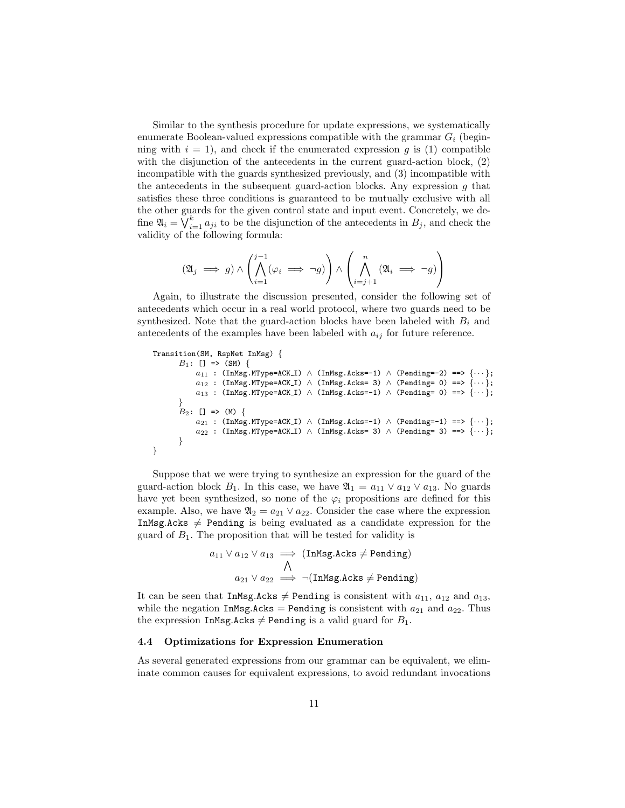Similar to the synthesis procedure for update expressions, we systematically enumerate Boolean-valued expressions compatible with the grammar  $G_i$  (beginning with  $i = 1$ , and check if the enumerated expression g is (1) compatible with the disjunction of the antecedents in the current guard-action block,  $(2)$ incompatible with the guards synthesized previously, and (3) incompatible with the antecedents in the subsequent guard-action blocks. Any expression  $g$  that satisfies these three conditions is guaranteed to be mutually exclusive with all the other guards for the given control state and input event. Concretely, we define  $\mathfrak{A}_i = \bigvee_{i=1}^k a_{ji}$  to be the disjunction of the antecedents in  $B_j$ , and check the validity of the following formula:

$$
(\mathfrak{A}_j \implies g) \land \left( \bigwedge_{i=1}^{j-1} (\varphi_i \implies \neg g) \right) \land \left( \bigwedge_{i=j+1}^n (\mathfrak{A}_i \implies \neg g) \right)
$$

Again, to illustrate the discussion presented, consider the following set of antecedents which occur in a real world protocol, where two guards need to be synthesized. Note that the guard-action blocks have been labeled with  $B_i$  and antecedents of the examples have been labeled with  $a_{ij}$  for future reference.

```
Transition(SM, RspNet InMsg) {
       B_1: [ ] \Rightarrow (SM) { }a_{11} : (InMsg.MType=ACK_I) \wedge (InMsg.Acks=-1) \wedge (Pending=-2) ==> \{\cdots\};a_{12} : (InMsg.MType=ACK_I) \wedge (InMsg.Acks= 3) \wedge (Pending= 0) ==> \{\cdots\};a_{13} : (InMsg.MType=ACK_I) \wedge (InMsg.Acks=-1) \wedge (Pending= 0) ==> \{\cdots\};}
       B_2: [] => (M) {
            a_{21} : (InMsg.MType=ACK_I) ∧ (InMsg.Acks=-1) ∧ (Pending=-1) ==> {...};
            a_{22} : (InMsg.MType=ACK_I) \wedge (InMsg.Acks= 3) \wedge (Pending= 3) ==> \{\cdots\};}
}
```
Suppose that we were trying to synthesize an expression for the guard of the guard-action block  $B_1$ . In this case, we have  $\mathfrak{A}_1 = a_{11} \vee a_{12} \vee a_{13}$ . No guards have yet been synthesized, so none of the  $\varphi_i$  propositions are defined for this example. Also, we have  $\mathfrak{A}_2 = a_{21} \vee a_{22}$ . Consider the case where the expression InMsg.Acks  $\neq$  Pending is being evaluated as a candidate expression for the guard of  $B_1$ . The proposition that will be tested for validity is

$$
a_{11} \lor a_{12} \lor a_{13} \implies (\text{InMsg.Acks} \neq \text{Pending})
$$
  

$$
\land
$$
  

$$
a_{21} \lor a_{22} \implies \neg(\text{InMsg.Acks} \neq \text{Pending})
$$

It can be seen that InMsg.Acks  $\neq$  Pending is consistent with  $a_{11}$ ,  $a_{12}$  and  $a_{13}$ , while the negation InMsg.Acks = Pending is consistent with  $a_{21}$  and  $a_{22}$ . Thus the expression InMsg.Acks  $\neq$  Pending is a valid guard for  $B_1$ .

#### 4.4 Optimizations for Expression Enumeration

As several generated expressions from our grammar can be equivalent, we eliminate common causes for equivalent expressions, to avoid redundant invocations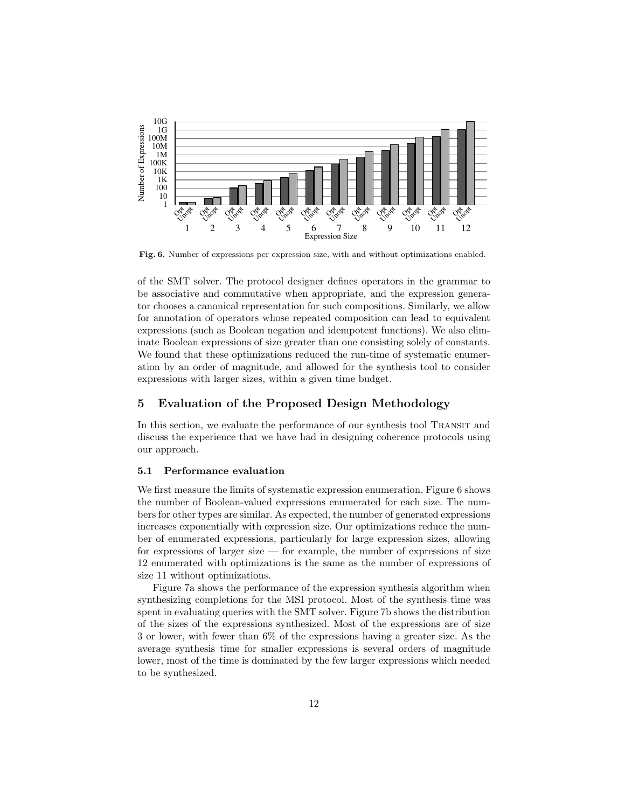

Fig. 6. Number of expressions per expression size, with and without optimizations enabled.

of the SMT solver. The protocol designer defines operators in the grammar to be associative and commutative when appropriate, and the expression generator chooses a canonical representation for such compositions. Similarly, we allow for annotation of operators whose repeated composition can lead to equivalent expressions (such as Boolean negation and idempotent functions). We also eliminate Boolean expressions of size greater than one consisting solely of constants. We found that these optimizations reduced the run-time of systematic enumeration by an order of magnitude, and allowed for the synthesis tool to consider expressions with larger sizes, within a given time budget.

## 5 Evaluation of the Proposed Design Methodology

In this section, we evaluate the performance of our synthesis tool Transit and discuss the experience that we have had in designing coherence protocols using our approach.

#### 5.1 Performance evaluation

We first measure the limits of systematic expression enumeration. Figure 6 shows the number of Boolean-valued expressions enumerated for each size. The numbers for other types are similar. As expected, the number of generated expressions increases exponentially with expression size. Our optimizations reduce the number of enumerated expressions, particularly for large expression sizes, allowing for expressions of larger size — for example, the number of expressions of size 12 enumerated with optimizations is the same as the number of expressions of size 11 without optimizations.

Figure 7a shows the performance of the expression synthesis algorithm when synthesizing completions for the MSI protocol. Most of the synthesis time was spent in evaluating queries with the SMT solver. Figure 7b shows the distribution of the sizes of the expressions synthesized. Most of the expressions are of size 3 or lower, with fewer than 6% of the expressions having a greater size. As the average synthesis time for smaller expressions is several orders of magnitude lower, most of the time is dominated by the few larger expressions which needed to be synthesized.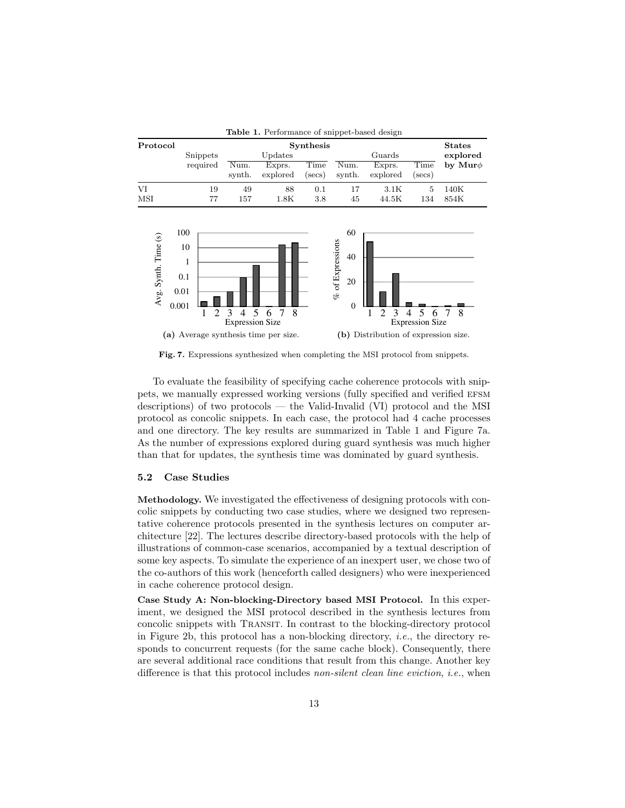| <b>Table 1.</b> Performance of snippet-based design |                                        |                     |                                       |                                                     |                    |                                                        |                                                                  |                                       |                           |
|-----------------------------------------------------|----------------------------------------|---------------------|---------------------------------------|-----------------------------------------------------|--------------------|--------------------------------------------------------|------------------------------------------------------------------|---------------------------------------|---------------------------|
| Protocol                                            |                                        | Snippets            | <b>Synthesis</b><br>Updates           |                                                     |                    | Guards                                                 |                                                                  |                                       | <b>States</b><br>explored |
|                                                     |                                        | required            | Num.<br>synth.                        | Exprs.<br>explored                                  | Time<br>$(\sec s)$ | Num.<br>synth.                                         | Exprs.<br>explored                                               | Time<br>$(\sec s)$                    | by Mur $\phi$             |
| VI<br>MSI                                           |                                        | 19<br>77            | 49<br>157                             | 88<br>1.8K                                          | 0.1<br>3.8         | 17<br>45                                               | 3.1K<br>44.5K                                                    | 5<br>134                              | 140K<br>854K              |
| Avg. Synth. Time (s)                                | 100<br>10<br>1<br>0.1<br>0.01<br>0.001 | $\overline{2}$<br>1 | 5<br>3<br>4<br><b>Expression Size</b> | 8<br>7<br>6<br>(a) Average synthesis time per size. |                    | 60<br>$%$ of Expressions<br>40<br>20<br>$\overline{0}$ | $\overline{2}$<br>3<br>1<br>(b) Distribution of expression size. | 5<br>4<br>6<br><b>Expression Size</b> | 8<br>7                    |

Fig. 7. Expressions synthesized when completing the MSI protocol from snippets.

To evaluate the feasibility of specifying cache coherence protocols with snippets, we manually expressed working versions (fully specified and verified efsm descriptions) of two protocols — the Valid-Invalid (VI) protocol and the MSI protocol as concolic snippets. In each case, the protocol had 4 cache processes and one directory. The key results are summarized in Table 1 and Figure 7a. As the number of expressions explored during guard synthesis was much higher than that for updates, the synthesis time was dominated by guard synthesis.

#### 5.2 Case Studies

Methodology. We investigated the effectiveness of designing protocols with concolic snippets by conducting two case studies, where we designed two representative coherence protocols presented in the synthesis lectures on computer architecture [22]. The lectures describe directory-based protocols with the help of illustrations of common-case scenarios, accompanied by a textual description of some key aspects. To simulate the experience of an inexpert user, we chose two of the co-authors of this work (henceforth called designers) who were inexperienced in cache coherence protocol design.

Case Study A: Non-blocking-Directory based MSI Protocol. In this experiment, we designed the MSI protocol described in the synthesis lectures from concolic snippets with Transit. In contrast to the blocking-directory protocol in Figure 2b, this protocol has a non-blocking directory, *i.e.*, the directory responds to concurrent requests (for the same cache block). Consequently, there are several additional race conditions that result from this change. Another key difference is that this protocol includes non-silent clean line eviction, i.e., when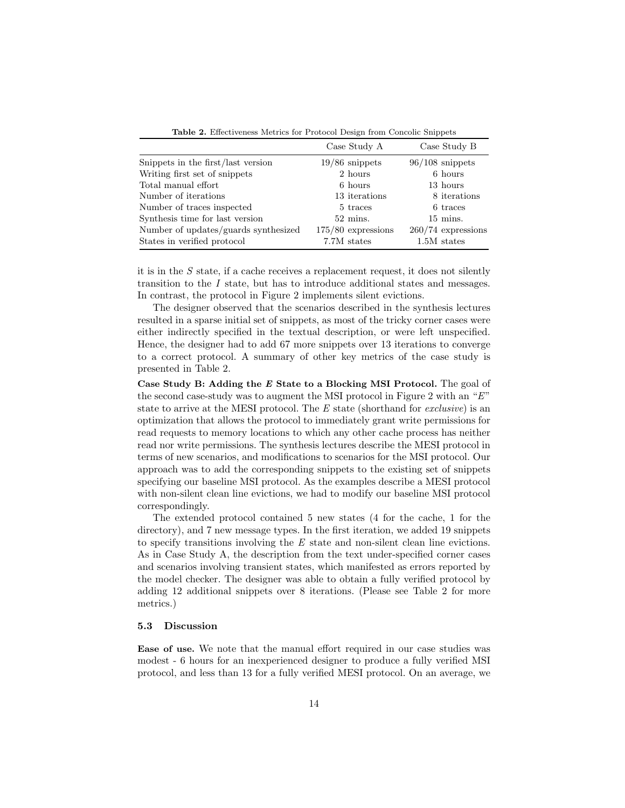|                                      | Case Study A         | Case Study B         |
|--------------------------------------|----------------------|----------------------|
| Snippets in the first/last version   | $19/86$ snippets     | $96/108$ snippets    |
| Writing first set of snippets        | 2 hours              | 6 hours              |
| Total manual effort                  | 6 hours              | 13 hours             |
| Number of iterations                 | 13 iterations        | 8 iterations         |
| Number of traces inspected           | 5 traces             | 6 traces             |
| Synthesis time for last version      | $52 \text{ mins.}$   | $15 \text{ mins}$ .  |
| Number of updates/guards synthesized | $175/80$ expressions | $260/74$ expressions |
| States in verified protocol          | 7.7M states          | $1.5M$ states        |

Table 2. Effectiveness Metrics for Protocol Design from Concolic Snippets

it is in the S state, if a cache receives a replacement request, it does not silently transition to the I state, but has to introduce additional states and messages. In contrast, the protocol in Figure 2 implements silent evictions.

The designer observed that the scenarios described in the synthesis lectures resulted in a sparse initial set of snippets, as most of the tricky corner cases were either indirectly specified in the textual description, or were left unspecified. Hence, the designer had to add 67 more snippets over 13 iterations to converge to a correct protocol. A summary of other key metrics of the case study is presented in Table 2.

Case Study B: Adding the E State to a Blocking MSI Protocol. The goal of the second case-study was to augment the MSI protocol in Figure 2 with an "E" state to arrive at the MESI protocol. The E state (shorthand for exclusive) is an optimization that allows the protocol to immediately grant write permissions for read requests to memory locations to which any other cache process has neither read nor write permissions. The synthesis lectures describe the MESI protocol in terms of new scenarios, and modifications to scenarios for the MSI protocol. Our approach was to add the corresponding snippets to the existing set of snippets specifying our baseline MSI protocol. As the examples describe a MESI protocol with non-silent clean line evictions, we had to modify our baseline MSI protocol correspondingly.

The extended protocol contained 5 new states (4 for the cache, 1 for the directory), and 7 new message types. In the first iteration, we added 19 snippets to specify transitions involving the E state and non-silent clean line evictions. As in Case Study A, the description from the text under-specified corner cases and scenarios involving transient states, which manifested as errors reported by the model checker. The designer was able to obtain a fully verified protocol by adding 12 additional snippets over 8 iterations. (Please see Table 2 for more metrics.)

#### 5.3 Discussion

Ease of use. We note that the manual effort required in our case studies was modest - 6 hours for an inexperienced designer to produce a fully verified MSI protocol, and less than 13 for a fully verified MESI protocol. On an average, we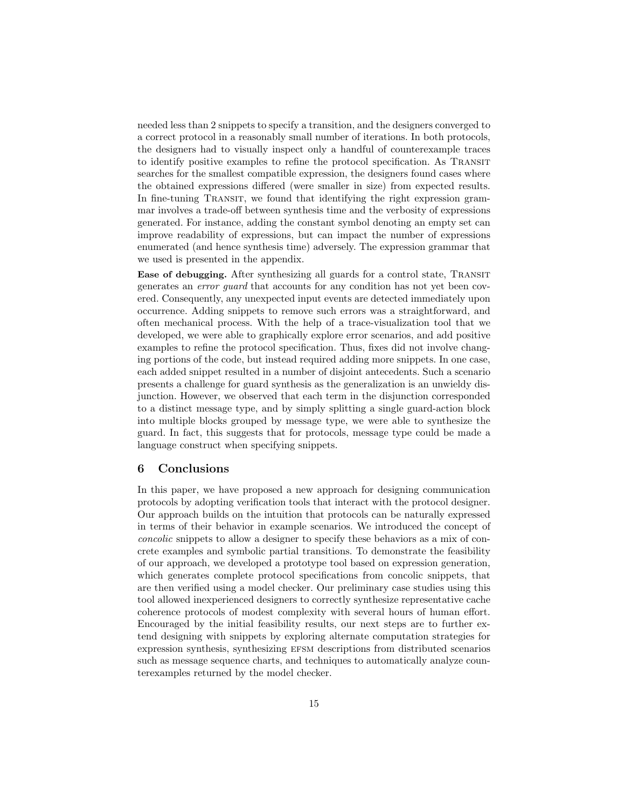needed less than 2 snippets to specify a transition, and the designers converged to a correct protocol in a reasonably small number of iterations. In both protocols, the designers had to visually inspect only a handful of counterexample traces to identify positive examples to refine the protocol specification. As Transit searches for the smallest compatible expression, the designers found cases where the obtained expressions differed (were smaller in size) from expected results. In fine-tuning TRANSIT, we found that identifying the right expression grammar involves a trade-off between synthesis time and the verbosity of expressions generated. For instance, adding the constant symbol denoting an empty set can improve readability of expressions, but can impact the number of expressions enumerated (and hence synthesis time) adversely. The expression grammar that we used is presented in the appendix.

Ease of debugging. After synthesizing all guards for a control state, TRANSIT generates an error guard that accounts for any condition has not yet been covered. Consequently, any unexpected input events are detected immediately upon occurrence. Adding snippets to remove such errors was a straightforward, and often mechanical process. With the help of a trace-visualization tool that we developed, we were able to graphically explore error scenarios, and add positive examples to refine the protocol specification. Thus, fixes did not involve changing portions of the code, but instead required adding more snippets. In one case, each added snippet resulted in a number of disjoint antecedents. Such a scenario presents a challenge for guard synthesis as the generalization is an unwieldy disjunction. However, we observed that each term in the disjunction corresponded to a distinct message type, and by simply splitting a single guard-action block into multiple blocks grouped by message type, we were able to synthesize the guard. In fact, this suggests that for protocols, message type could be made a language construct when specifying snippets.

## 6 Conclusions

In this paper, we have proposed a new approach for designing communication protocols by adopting verification tools that interact with the protocol designer. Our approach builds on the intuition that protocols can be naturally expressed in terms of their behavior in example scenarios. We introduced the concept of concolic snippets to allow a designer to specify these behaviors as a mix of concrete examples and symbolic partial transitions. To demonstrate the feasibility of our approach, we developed a prototype tool based on expression generation, which generates complete protocol specifications from concolic snippets, that are then verified using a model checker. Our preliminary case studies using this tool allowed inexperienced designers to correctly synthesize representative cache coherence protocols of modest complexity with several hours of human effort. Encouraged by the initial feasibility results, our next steps are to further extend designing with snippets by exploring alternate computation strategies for expression synthesis, synthesizing EFSM descriptions from distributed scenarios such as message sequence charts, and techniques to automatically analyze counterexamples returned by the model checker.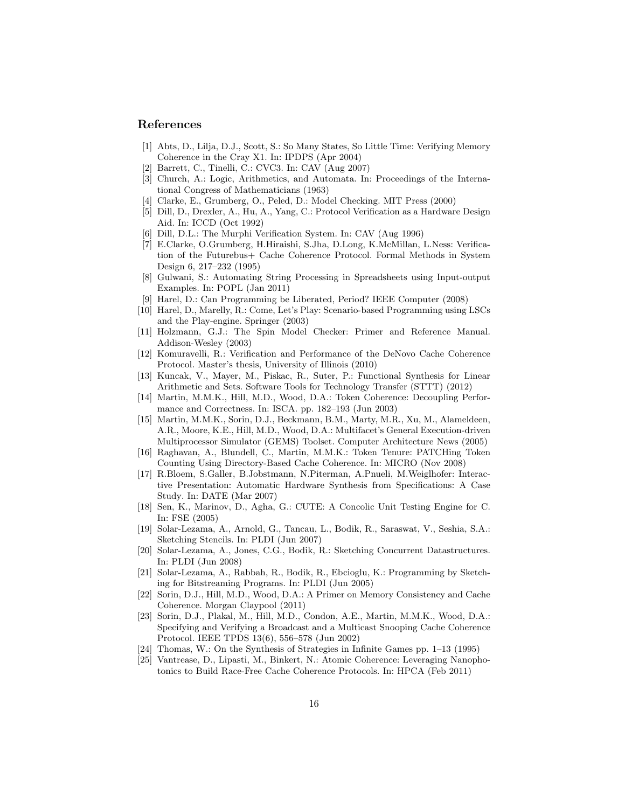### References

- [1] Abts, D., Lilja, D.J., Scott, S.: So Many States, So Little Time: Verifying Memory Coherence in the Cray X1. In: IPDPS (Apr 2004)
- Barrett, C., Tinelli, C.: CVC3. In: CAV (Aug 2007)
- [3] Church, A.: Logic, Arithmetics, and Automata. In: Proceedings of the International Congress of Mathematicians (1963)
- [4] Clarke, E., Grumberg, O., Peled, D.: Model Checking. MIT Press (2000)
- [5] Dill, D., Drexler, A., Hu, A., Yang, C.: Protocol Verification as a Hardware Design Aid. In: ICCD (Oct 1992)
- [6] Dill, D.L.: The Murphi Verification System. In: CAV (Aug 1996)
- [7] E.Clarke, O.Grumberg, H.Hiraishi, S.Jha, D.Long, K.McMillan, L.Ness: Verification of the Futurebus+ Cache Coherence Protocol. Formal Methods in System Design 6, 217–232 (1995)
- [8] Gulwani, S.: Automating String Processing in Spreadsheets using Input-output Examples. In: POPL (Jan 2011)
- [9] Harel, D.: Can Programming be Liberated, Period? IEEE Computer (2008)
- [10] Harel, D., Marelly, R.: Come, Let's Play: Scenario-based Programming using LSCs and the Play-engine. Springer (2003)
- [11] Holzmann, G.J.: The Spin Model Checker: Primer and Reference Manual. Addison-Wesley (2003)
- [12] Komuravelli, R.: Verification and Performance of the DeNovo Cache Coherence Protocol. Master's thesis, University of Illinois (2010)
- [13] Kuncak, V., Mayer, M., Piskac, R., Suter, P.: Functional Synthesis for Linear Arithmetic and Sets. Software Tools for Technology Transfer (STTT) (2012)
- [14] Martin, M.M.K., Hill, M.D., Wood, D.A.: Token Coherence: Decoupling Performance and Correctness. In: ISCA. pp. 182–193 (Jun 2003)
- [15] Martin, M.M.K., Sorin, D.J., Beckmann, B.M., Marty, M.R., Xu, M., Alameldeen, A.R., Moore, K.E., Hill, M.D., Wood, D.A.: Multifacet's General Execution-driven Multiprocessor Simulator (GEMS) Toolset. Computer Architecture News (2005)
- [16] Raghavan, A., Blundell, C., Martin, M.M.K.: Token Tenure: PATCHing Token Counting Using Directory-Based Cache Coherence. In: MICRO (Nov 2008)
- [17] R.Bloem, S.Galler, B.Jobstmann, N.Piterman, A.Pnueli, M.Weiglhofer: Interactive Presentation: Automatic Hardware Synthesis from Specifications: A Case Study. In: DATE (Mar 2007)
- [18] Sen, K., Marinov, D., Agha, G.: CUTE: A Concolic Unit Testing Engine for C. In: FSE (2005)
- [19] Solar-Lezama, A., Arnold, G., Tancau, L., Bodik, R., Saraswat, V., Seshia, S.A.: Sketching Stencils. In: PLDI (Jun 2007)
- [20] Solar-Lezama, A., Jones, C.G., Bodik, R.: Sketching Concurrent Datastructures. In: PLDI (Jun 2008)
- [21] Solar-Lezama, A., Rabbah, R., Bodik, R., Ebcioglu, K.: Programming by Sketching for Bitstreaming Programs. In: PLDI (Jun 2005)
- [22] Sorin, D.J., Hill, M.D., Wood, D.A.: A Primer on Memory Consistency and Cache Coherence. Morgan Claypool (2011)
- [23] Sorin, D.J., Plakal, M., Hill, M.D., Condon, A.E., Martin, M.M.K., Wood, D.A.: Specifying and Verifying a Broadcast and a Multicast Snooping Cache Coherence Protocol. IEEE TPDS 13(6), 556–578 (Jun 2002)
- [24] Thomas, W.: On the Synthesis of Strategies in Infinite Games pp. 1–13 (1995)
- [25] Vantrease, D., Lipasti, M., Binkert, N.: Atomic Coherence: Leveraging Nanophotonics to Build Race-Free Cache Coherence Protocols. In: HPCA (Feb 2011)